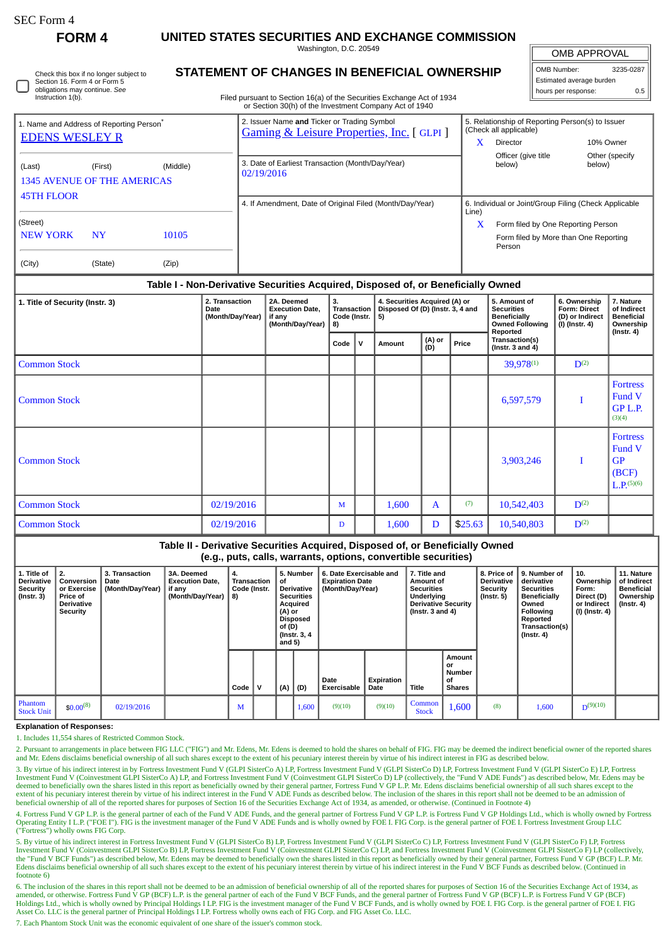П

**FORM 4 UNITED STATES SECURITIES AND EXCHANGE COMMISSION**

Washington, D.C. 20549

| Check this box if no longer subject to |
|----------------------------------------|
| Section 16. Form 4 or Form 5           |
| obligations may continue. See          |
| Instruction 1(b).                      |

# **STATEMENT OF CHANGES IN BENEFICIAL OWNERSHIP**

Filed pursuant to Section 16(a) of the Securities Exchange Act of 1934 or Section 30(h) of the Investment Company Act of 1940

| OMB APPROVAL             |           |  |  |  |  |  |  |  |  |
|--------------------------|-----------|--|--|--|--|--|--|--|--|
| OMB Number:              | 3235-0287 |  |  |  |  |  |  |  |  |
| Estimated average burden |           |  |  |  |  |  |  |  |  |
| hours per response:      | 0.5       |  |  |  |  |  |  |  |  |

| 1. Name and Address of Reporting Person <sup>®</sup> |           |          | 2. Issuer Name and Ticker or Trading Symbol<br><b>Gaming &amp; Leisure Properties, Inc.</b> [GLPI] | 5. Relationship of Reporting Person(s) to Issuer<br>(Check all applicable) |  |  |  |  |
|------------------------------------------------------|-----------|----------|----------------------------------------------------------------------------------------------------|----------------------------------------------------------------------------|--|--|--|--|
| <b>EDENS WESLEY R</b>                                |           |          |                                                                                                    | x<br><b>Director</b><br>10% Owner                                          |  |  |  |  |
|                                                      |           |          |                                                                                                    | Officer (give title<br>Other (specify                                      |  |  |  |  |
| (Last)                                               | (First)   | (Middle) | 3. Date of Earliest Transaction (Month/Day/Year)<br>02/19/2016                                     | below)<br>below)                                                           |  |  |  |  |
| <b>1345 AVENUE OF THE AMERICAS</b>                   |           |          |                                                                                                    |                                                                            |  |  |  |  |
| <b>45TH FLOOR</b>                                    |           |          |                                                                                                    |                                                                            |  |  |  |  |
|                                                      |           |          | 4. If Amendment, Date of Original Filed (Month/Day/Year)                                           | 6. Individual or Joint/Group Filing (Check Applicable<br>Line)             |  |  |  |  |
| (Street)                                             |           |          |                                                                                                    | x<br>Form filed by One Reporting Person                                    |  |  |  |  |
| <b>NEW YORK</b>                                      | <b>NY</b> | 10105    |                                                                                                    | Form filed by More than One Reporting<br>Person                            |  |  |  |  |
| (City)                                               | (State)   | (Zip)    |                                                                                                    |                                                                            |  |  |  |  |

### **Table I - Non-Derivative Securities Acquired, Disposed of, or Beneficially Owned**

| 1. Title of Security (Instr. 3) | 2. Transaction<br>Date<br>(Month/Day/Year) | 2A. Deemed<br><b>Execution Date,</b><br>if any<br>(Month/Day/Year)   8) | 3.<br>Transaction<br>Code (Instr. |     | 4. Securities Acquired (A) or<br>Disposed Of (D) (Instr. 3, 4 and<br>5) |                        |         | 5. Amount of<br><b>Securities</b><br><b>Beneficially</b><br><b>Owned Following</b><br>Reported | 6. Ownership<br>Form: Direct<br>(D) or Indirect<br>(I) (Instr. 4) | 7. Nature<br>of Indirect<br><b>Beneficial</b><br>Ownership<br>$($ Instr. 4 $)$ |  |
|---------------------------------|--------------------------------------------|-------------------------------------------------------------------------|-----------------------------------|-----|-------------------------------------------------------------------------|------------------------|---------|------------------------------------------------------------------------------------------------|-------------------------------------------------------------------|--------------------------------------------------------------------------------|--|
|                                 |                                            |                                                                         | Code                              | , V | Amount                                                                  | (A) or<br>(D)<br>Price |         | Transaction(s)<br>$($ Instr. 3 and 4 $)$                                                       |                                                                   |                                                                                |  |
| <b>Common Stock</b>             |                                            |                                                                         |                                   |     |                                                                         |                        |         | $39,978^{(1)}$                                                                                 | $D^{(2)}$                                                         |                                                                                |  |
| <b>Common Stock</b>             |                                            |                                                                         |                                   |     |                                                                         |                        |         | 6,597,579                                                                                      | I                                                                 | <b>Fortress</b><br>Fund V<br>GP L.P.<br>(3)(4)                                 |  |
| Common Stock                    |                                            |                                                                         |                                   |     |                                                                         |                        |         | 3,903,246                                                                                      | I                                                                 | <b>Fortress</b><br>Fund V<br>GP<br>(BCF)<br>$L.P.$ <sup>(5)(6)</sup>           |  |
| <b>Common Stock</b>             | 02/19/2016                                 |                                                                         | M                                 |     | 1,600                                                                   | $\mathbf{A}$           | (7)     | 10,542,403                                                                                     | $D^{(2)}$                                                         |                                                                                |  |
| <b>Common Stock</b>             | 02/19/2016                                 |                                                                         | D                                 |     | 1,600                                                                   | D                      | \$25.63 | 10,540,803                                                                                     | $D^{(2)}$                                                         |                                                                                |  |

## **Table II - Derivative Securities Acquired, Disposed of, or Beneficially Owned (e.g., puts, calls, warrants, options, convertible securities)**

| 1. Title of<br>Derivative<br><b>Security</b><br>(Instr. 3) | 2.<br><b>Conversion</b> 1<br>or Exercise  <br><b>Price of</b><br><b>Derivative</b><br><b>Security</b> | 3. Transaction<br>Date<br>(Month/Day/Year) | 3A. Deemed<br><b>Execution Date.</b><br>if any<br>(Month/Day/Year) | 4.<br>Transaction<br>Code (Instr.<br>  8) |             | οf<br>(A) or<br>of (D)<br>and $5)$ | 5. Number<br><b>Derivative</b><br><b>Securities</b><br>Acquired<br>Disposed<br>(Instr. 3, 4) | 6. Date Exercisable and<br><b>Expiration Date</b><br>(Month/Day/Year) |                    | 7. Title and<br>Amount of<br><b>Securities</b><br>Underlying<br><b>Derivative Security</b><br>(Instr. $3$ and $4$ ) |                                                      | 8. Price of<br><b>Derivative</b><br><b>Security</b><br>(Instr. 5) | 9. Number of<br>derivative<br><b>Securities</b><br>Beneficially<br>Owned<br>Following<br>Reported<br>Transaction(s)<br>(Instr. 4) | 10.<br>Ownership<br>Form:<br>Direct (D)<br>or Indirect<br>(I) (Instr. 4) $\vert$ | 11. Nature<br>of Indirect<br><b>Beneficial</b><br>Ownership<br>$($ lnstr. 4 $)$ |
|------------------------------------------------------------|-------------------------------------------------------------------------------------------------------|--------------------------------------------|--------------------------------------------------------------------|-------------------------------------------|-------------|------------------------------------|----------------------------------------------------------------------------------------------|-----------------------------------------------------------------------|--------------------|---------------------------------------------------------------------------------------------------------------------|------------------------------------------------------|-------------------------------------------------------------------|-----------------------------------------------------------------------------------------------------------------------------------|----------------------------------------------------------------------------------|---------------------------------------------------------------------------------|
|                                                            |                                                                                                       |                                            |                                                                    | Code                                      | $\mathbf v$ | (A)                                | (D)                                                                                          | Date<br>Exercisable                                                   | Expiration<br>Date | Title                                                                                                               | Amount<br>or<br><b>Number</b><br>οf<br><b>Shares</b> |                                                                   |                                                                                                                                   |                                                                                  |                                                                                 |
| Phantom<br><b>Stock Unit</b>                               | $$0.00^{(8)}$                                                                                         | 02/19/2016                                 |                                                                    | M                                         |             |                                    | 1,600                                                                                        | (9)(10)                                                               | (9)(10)            | Common<br><b>Stock</b>                                                                                              | 1,600                                                | (8)                                                               | 1,600                                                                                                                             | $D^{(9)(10)}$                                                                    |                                                                                 |

#### **Explanation of Responses:**

1. Includes 11,554 shares of Restricted Common Stock.

2. Pursuant to arrangements in place between FIG LLC ("FIG") and Mr. Edens, Mr. Edens is deemed to hold the shares on behalf of FIG. FIG may be deemed the indirect beneficial owner of the reported shares and Mr. Edens disclaims beneficial ownership of all such shares except to the extent of his pecuniary interest therein by virtue of his indirect interest in FIG as described below.

3. By virtue of his indirect interest in by Fortress Investment Fund V (GLPI SisterCo A) LP, Fortress Investment Fund V (GLPI SisterCo D) LP, Fortress Investment Fund V (GLPI SisterCo E) LP, Fortress Investment Fund V (Coinvestment GLPI SisterCo A) LP, and Fortress Investment Fund V (Coinvestment GLPI SisterCo D) LP (collectively, the "Fund V ADE Funds") as described below, Mr. Edens may be deemed to beneficially own the shares listed in this report as beneficially owned by their general partner, Fortress Fund V GP L.P. Mr. Edens disclaims beneficial ownership of all such shares except to the<br>extent of his pe beneficial ownership of all of the reported shares for purposes of Section 16 of the Securities Exchange Act of 1934, as amended, or otherwise. (Continued in Footnote 4)

4. Fortress Fund V GP L.P. is the general partner of each of the Fund V ADE Funds, and the general partner of Fortress Fund V GP L.P. is Fortress Fund V GP Holdings Ltd., which is wholly owned by Fortress Operating Entity I L.P. ("FOE I"). FIG is the investment manager of the Fund V ADE Funds and is wholly owned by FOE I. FIG Corp. is the general partner of FOE I. Fortress Investment Group LLC ("Fortress") wholly owns FIG Corp.

5. By virtue of his indirect interest in Fortress Investment Fund V (GLPI SisterCo B) LP, Fortress Investment Fund V (GLPI SisterCo C) LP, Fortress Investment Fund V (GLPI SisterCo F) LP, Fortress Investment Fund V (Coinvestment GLPI SisterCo B) LP, Fortress Investment Fund V (Coinvestment GLPI SisterCo C) LP, and Fortress Investment Fund V (Coinvestment GLPI SisterCo F) LP (collectively, the "Fund V BCF Funds") as described below, Mr. Edens may be deemed to beneficially own the shares listed in this report as beneficially owned by their general partner, Fortress Fund V GP (BCF) L.P. Mr.<br>Edens disclaims ben footnote 6)

6. The inclusion of the shares in this report shall not be deemed to be an admission of beneficial ownership of all of the reported shares for purposes of Section 16 of the Securities Exchange Act of 1934, as<br>amended, or o Holdings Ltd., which is wholly owned by Principal Holdings I LP. FIG is the investment manager of the Fund V BCF Funds, and is wholly owned by FOE I. FIG Corp. is the general partner of FOE I. FIG Asset Co. LLC is the general partner of Principal Holdings I LP. Fortress wholly owns each of FIG Corp. and FIG Asset Co. LLC.

7. Each Phantom Stock Unit was the economic equivalent of one share of the issuer's common stock.